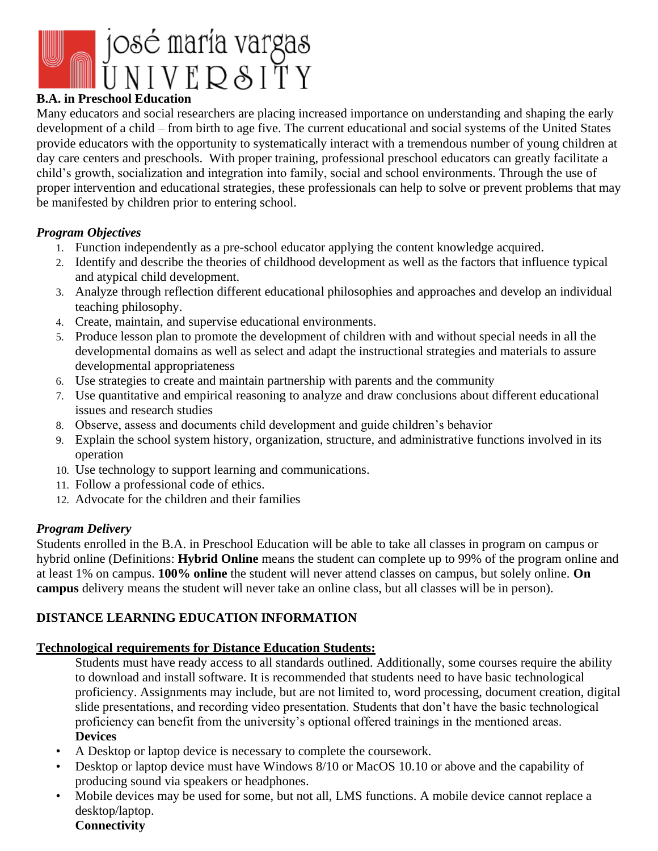

# **B.A. in Preschool Education**

Many educators and social researchers are placing increased importance on understanding and shaping the early development of a child – from birth to age five. The current educational and social systems of the United States provide educators with the opportunity to systematically interact with a tremendous number of young children at day care centers and preschools. With proper training, professional preschool educators can greatly facilitate a child's growth, socialization and integration into family, social and school environments. Through the use of proper intervention and educational strategies, these professionals can help to solve or prevent problems that may be manifested by children prior to entering school.

## *Program Objectives*

- 1. Function independently as a pre-school educator applying the content knowledge acquired.
- 2. Identify and describe the theories of childhood development as well as the factors that influence typical and atypical child development.
- 3. Analyze through reflection different educational philosophies and approaches and develop an individual teaching philosophy.
- 4. Create, maintain, and supervise educational environments.
- 5. Produce lesson plan to promote the development of children with and without special needs in all the developmental domains as well as select and adapt the instructional strategies and materials to assure developmental appropriateness
- 6. Use strategies to create and maintain partnership with parents and the community
- 7. Use quantitative and empirical reasoning to analyze and draw conclusions about different educational issues and research studies
- 8. Observe, assess and documents child development and guide children's behavior
- 9. Explain the school system history, organization, structure, and administrative functions involved in its operation
- 10. Use technology to support learning and communications.
- 11. Follow a professional code of ethics.
- 12. Advocate for the children and their families

# *Program Delivery*

Students enrolled in the B.A. in Preschool Education will be able to take all classes in program on campus or hybrid online (Definitions: **Hybrid Online** means the student can complete up to 99% of the program online and at least 1% on campus. **100% online** the student will never attend classes on campus, but solely online. **On campus** delivery means the student will never take an online class, but all classes will be in person).

# **DISTANCE LEARNING EDUCATION INFORMATION**

#### **Technological requirements for Distance Education Students:**

Students must have ready access to all standards outlined. Additionally, some courses require the ability to download and install software. It is recommended that students need to have basic technological proficiency. Assignments may include, but are not limited to, word processing, document creation, digital slide presentations, and recording video presentation. Students that don't have the basic technological proficiency can benefit from the university's optional offered trainings in the mentioned areas. **Devices**

- A Desktop or laptop device is necessary to complete the coursework.
- Desktop or laptop device must have Windows 8/10 or MacOS 10.10 or above and the capability of producing sound via speakers or headphones.
- Mobile devices may be used for some, but not all, LMS functions. A mobile device cannot replace a desktop/laptop.

### **Connectivity**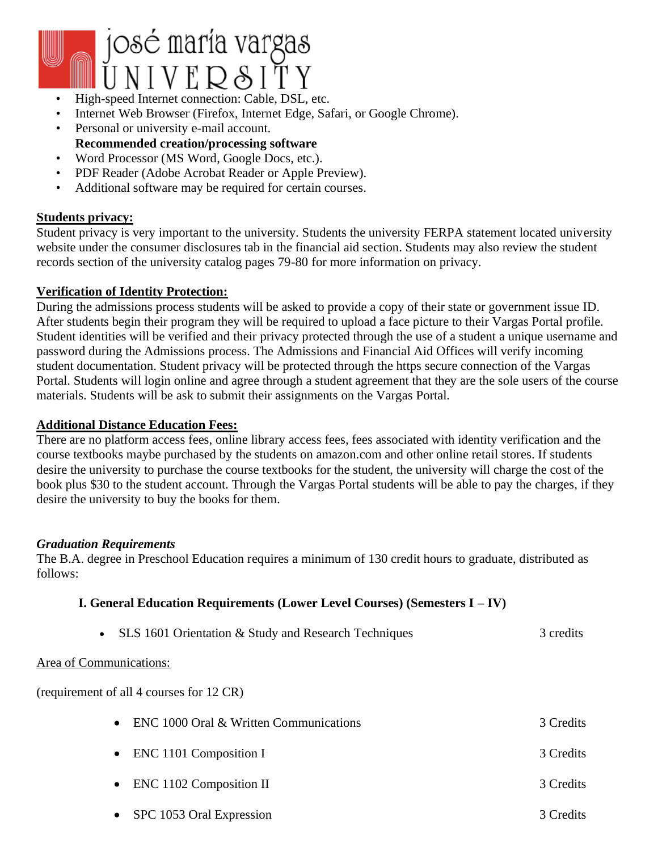

- High-speed Internet connection: Cable, DSL, etc.
- Internet Web Browser (Firefox, Internet Edge, Safari, or Google Chrome).
- Personal or university e-mail account. **Recommended creation/processing software**
- Word Processor (MS Word, Google Docs, etc.).
- PDF Reader (Adobe Acrobat Reader or Apple Preview).
- Additional software may be required for certain courses.

#### **Students privacy:**

Student privacy is very important to the university. Students the university FERPA statement located university website under the consumer disclosures tab in the financial aid section. Students may also review the student records section of the university catalog pages 79-80 for more information on privacy.

#### **Verification of Identity Protection:**

During the admissions process students will be asked to provide a copy of their state or government issue ID. After students begin their program they will be required to upload a face picture to their Vargas Portal profile. Student identities will be verified and their privacy protected through the use of a student a unique username and password during the Admissions process. The Admissions and Financial Aid Offices will verify incoming student documentation. Student privacy will be protected through the https secure connection of the Vargas Portal. Students will login online and agree through a student agreement that they are the sole users of the course materials. Students will be ask to submit their assignments on the Vargas Portal.

#### **Additional Distance Education Fees:**

There are no platform access fees, online library access fees, fees associated with identity verification and the course textbooks maybe purchased by the students on amazon.com and other online retail stores. If students desire the university to purchase the course textbooks for the student, the university will charge the cost of the book plus \$30 to the student account. Through the Vargas Portal students will be able to pay the charges, if they desire the university to buy the books for them.

#### *Graduation Requirements*

The B.A. degree in Preschool Education requires a minimum of 130 credit hours to graduate, distributed as follows:

#### **I. General Education Requirements (Lower Level Courses) (Semesters I – IV)**

• SLS 1601 Orientation & Study and Research Techniques 3 credits

#### Area of Communications:

(requirement of all 4 courses for 12 CR)

| • ENC 1000 Oral $&$ Written Communications | 3 Credits |
|--------------------------------------------|-----------|
| $\bullet$ ENC 1101 Composition I           | 3 Credits |
| $\bullet$ ENC 1102 Composition II          | 3 Credits |
|                                            |           |

• SPC 1053 Oral Expression 3 Credits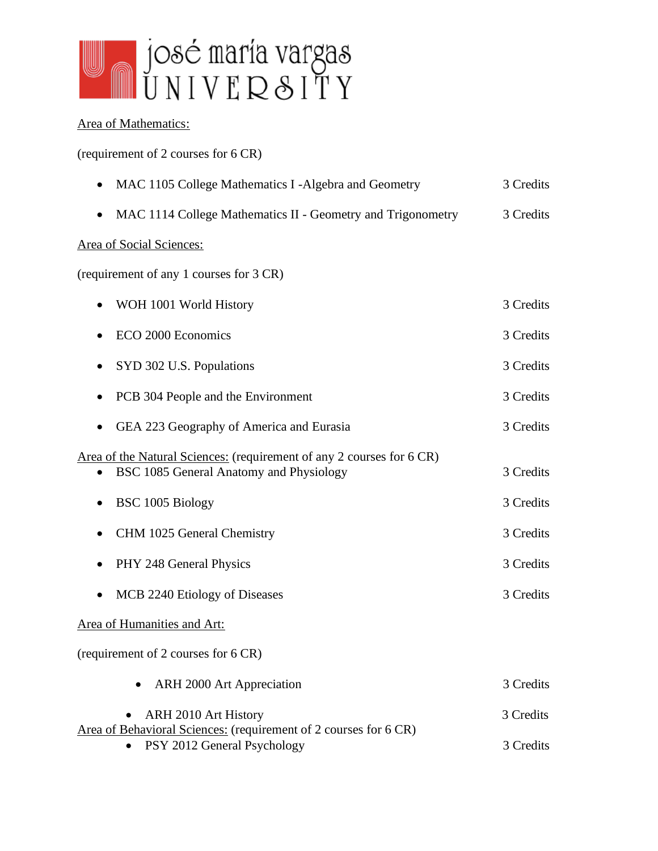

# Area of Mathematics:

(requirement of 2 courses for 6 CR)

| • MAC 1105 College Mathematics I -Algebra and Geometry | 3 Credits |
|--------------------------------------------------------|-----------|
|                                                        |           |

• MAC 1114 College Mathematics II - Geometry and Trigonometry 3 Credits

# Area of Social Sciences:

(requirement of any 1 courses for 3 CR)

| WOH 1001 World History                                                                                           | 3 Credits |
|------------------------------------------------------------------------------------------------------------------|-----------|
| ECO 2000 Economics                                                                                               | 3 Credits |
| SYD 302 U.S. Populations                                                                                         | 3 Credits |
| PCB 304 People and the Environment<br>$\bullet$                                                                  | 3 Credits |
| GEA 223 Geography of America and Eurasia                                                                         | 3 Credits |
| Area of the Natural Sciences: (requirement of any 2 courses for 6 CR)<br>BSC 1085 General Anatomy and Physiology | 3 Credits |
| BSC 1005 Biology                                                                                                 | 3 Credits |
| CHM 1025 General Chemistry                                                                                       | 3 Credits |
| PHY 248 General Physics<br>$\bullet$                                                                             | 3 Credits |
| MCB 2240 Etiology of Diseases<br>$\bullet$                                                                       | 3 Credits |
| Area of Humanities and Art:                                                                                      |           |
| (requirement of 2 courses for 6 CR)                                                                              |           |
| ARH 2000 Art Appreciation<br>٠                                                                                   | 3 Credits |
| ARH 2010 Art History                                                                                             | 3 Credits |
| Area of Behavioral Sciences: (requirement of 2 courses for 6 CR)<br>PSY 2012 General Psychology                  | 3 Credits |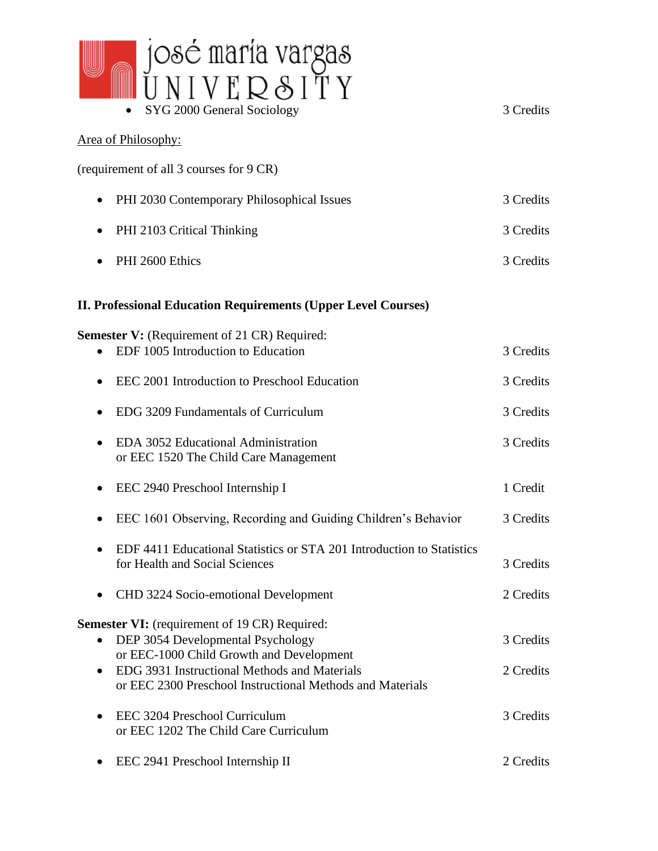

# • SYG 2000 General Sociology 3 Credits Area of Philosophy: (requirement of all 3 courses for 9 CR) • PHI 2030 Contemporary Philosophical Issues 3 Credits • PHI 2103 Critical Thinking 3 Credits • PHI 2600 Ethics 3 Credits 3 Credits **II. Professional Education Requirements (Upper Level Courses) Semester V:** (Requirement of 21 CR) Required: • EDF 1005 Introduction to Education **3** Credits 3 Credits • EEC 2001 Introduction to Preschool Education 3 Credits • EDG 3209 Fundamentals of Curriculum 3 Credits • EDA 3052 Educational Administration 3 Credits or EEC 1520 The Child Care Management • EEC 2940 Preschool Internship I 1 Credit • EEC 1601 Observing, Recording and Guiding Children's Behavior 3 Credits • EDF 4411 Educational Statistics or STA 201 Introduction to Statistics for Health and Social Sciences 3 Credits • CHD 3224 Socio-emotional Development 2 Credits **Semester VI:** (requirement of 19 CR) Required: • DEP 3054 Developmental Psychology 3 Credits or EEC-1000 Child Growth and Development • EDG 3931 Instructional Methods and Materials 2 Credits 2 2 Credits or EEC 2300 Preschool Instructional Methods and Materials • EEC 3204 Preschool Curriculum 3 Credits or EEC 1202 The Child Care Curriculum

• EEC 2941 Preschool Internship II 2 Credits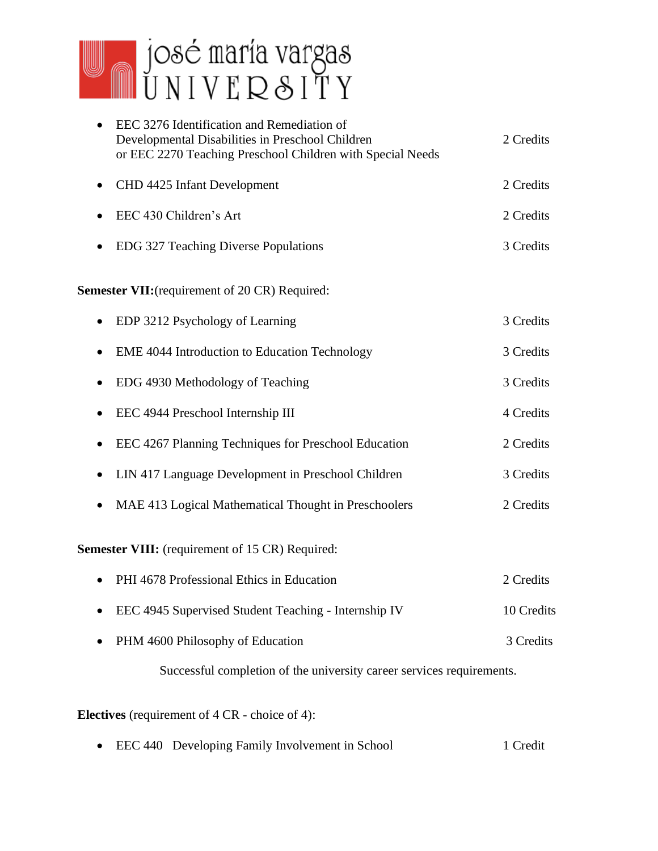

| EEC 3276 Identification and Remediation of<br>Developmental Disabilities in Preschool Children<br>or EEC 2270 Teaching Preschool Children with Special Needs | 2 Credits  |
|--------------------------------------------------------------------------------------------------------------------------------------------------------------|------------|
| CHD 4425 Infant Development<br>٠                                                                                                                             | 2 Credits  |
| EEC 430 Children's Art                                                                                                                                       | 2 Credits  |
| EDG 327 Teaching Diverse Populations                                                                                                                         | 3 Credits  |
| <b>Semester VII:</b> (requirement of 20 CR) Required:                                                                                                        |            |
| EDP 3212 Psychology of Learning                                                                                                                              | 3 Credits  |
| EME 4044 Introduction to Education Technology<br>$\bullet$                                                                                                   | 3 Credits  |
| EDG 4930 Methodology of Teaching                                                                                                                             | 3 Credits  |
| EEC 4944 Preschool Internship III<br>$\bullet$                                                                                                               | 4 Credits  |
| EEC 4267 Planning Techniques for Preschool Education<br>$\bullet$                                                                                            | 2 Credits  |
| LIN 417 Language Development in Preschool Children<br>$\bullet$                                                                                              | 3 Credits  |
| MAE 413 Logical Mathematical Thought in Preschoolers                                                                                                         | 2 Credits  |
| <b>Semester VIII:</b> (requirement of 15 CR) Required:                                                                                                       |            |
| PHI 4678 Professional Ethics in Education                                                                                                                    | 2 Credits  |
| EEC 4945 Supervised Student Teaching - Internship IV                                                                                                         | 10 Credits |
| PHM 4600 Philosophy of Education                                                                                                                             | 3 Credits  |
| Successful completion of the university career services requirements.                                                                                        |            |

**Electives** (requirement of 4 CR - choice of 4):

• EEC 440 Developing Family Involvement in School 1 Credit